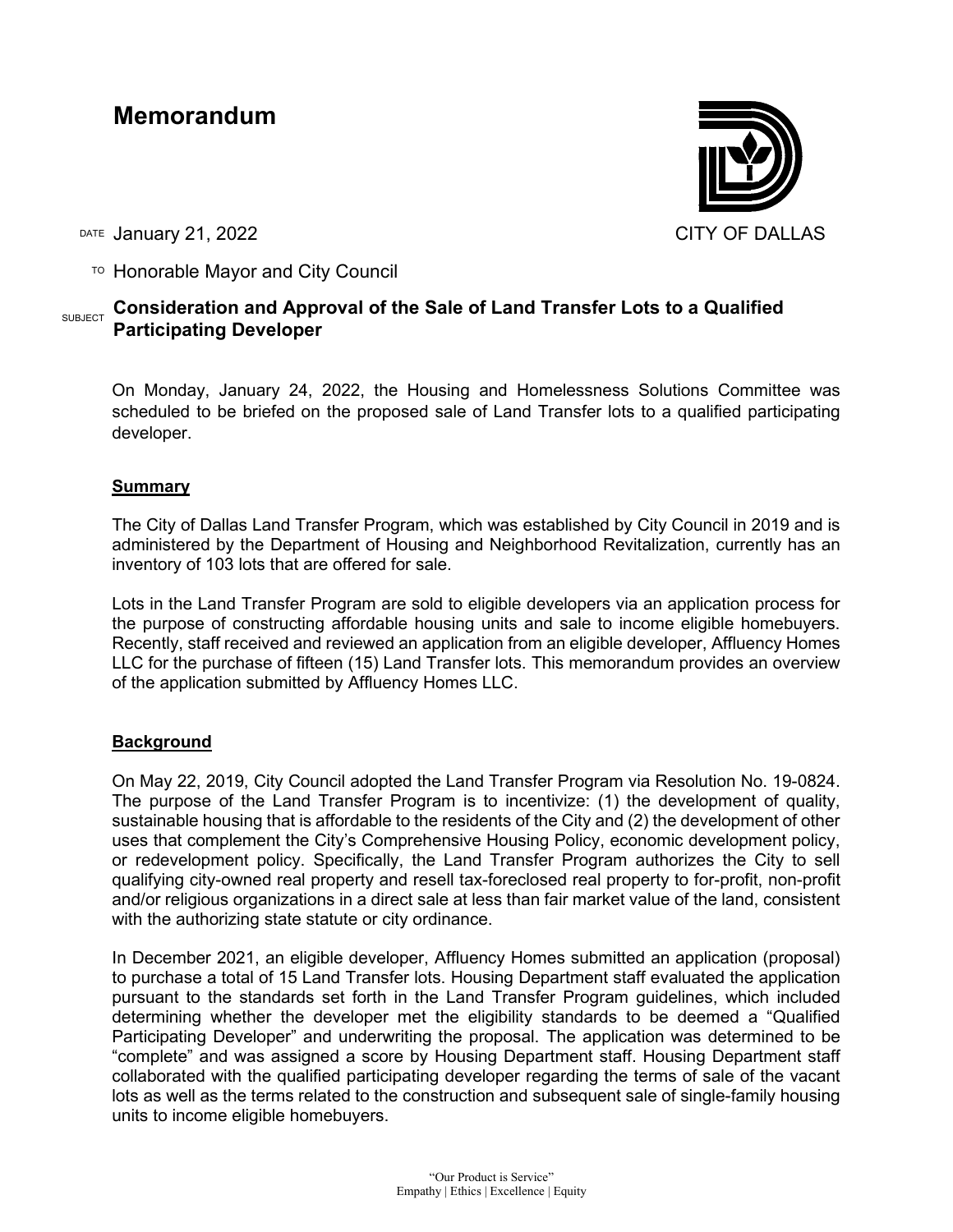# **Memorandum**



DATE January 21, 2022 **CITY OF DALLAS** 

TO Honorable Mayor and City Council

## **SUBJECT** Consideration and Approval of the Sale of Land Transfer Lots to a Qualified **Participating Developer**

On Monday, January 24, 2022, the Housing and Homelessness Solutions Committee was scheduled to be briefed on the proposed sale of Land Transfer lots to a qualified participating developer.

## **Summary**

The City of Dallas Land Transfer Program, which was established by City Council in 2019 and is administered by the Department of Housing and Neighborhood Revitalization, currently has an inventory of 103 lots that are offered for sale.

Lots in the Land Transfer Program are sold to eligible developers via an application process for the purpose of constructing affordable housing units and sale to income eligible homebuyers. Recently, staff received and reviewed an application from an eligible developer, Affluency Homes LLC for the purchase of fifteen (15) Land Transfer lots. This memorandum provides an overview of the application submitted by Affluency Homes LLC.

### **Background**

On May 22, 2019, City Council adopted the Land Transfer Program via Resolution No. 19-0824. The purpose of the Land Transfer Program is to incentivize: (1) the development of quality, sustainable housing that is affordable to the residents of the City and (2) the development of other uses that complement the City's Comprehensive Housing Policy, economic development policy, or redevelopment policy. Specifically, the Land Transfer Program authorizes the City to sell qualifying city-owned real property and resell tax-foreclosed real property to for-profit, non-profit and/or religious organizations in a direct sale at less than fair market value of the land, consistent with the authorizing state statute or city ordinance.

In December 2021, an eligible developer, Affluency Homes submitted an application (proposal) to purchase a total of 15 Land Transfer lots. Housing Department staff evaluated the application pursuant to the standards set forth in the Land Transfer Program guidelines, which included determining whether the developer met the eligibility standards to be deemed a "Qualified Participating Developer" and underwriting the proposal. The application was determined to be "complete" and was assigned a score by Housing Department staff. Housing Department staff collaborated with the qualified participating developer regarding the terms of sale of the vacant lots as well as the terms related to the construction and subsequent sale of single-family housing units to income eligible homebuyers.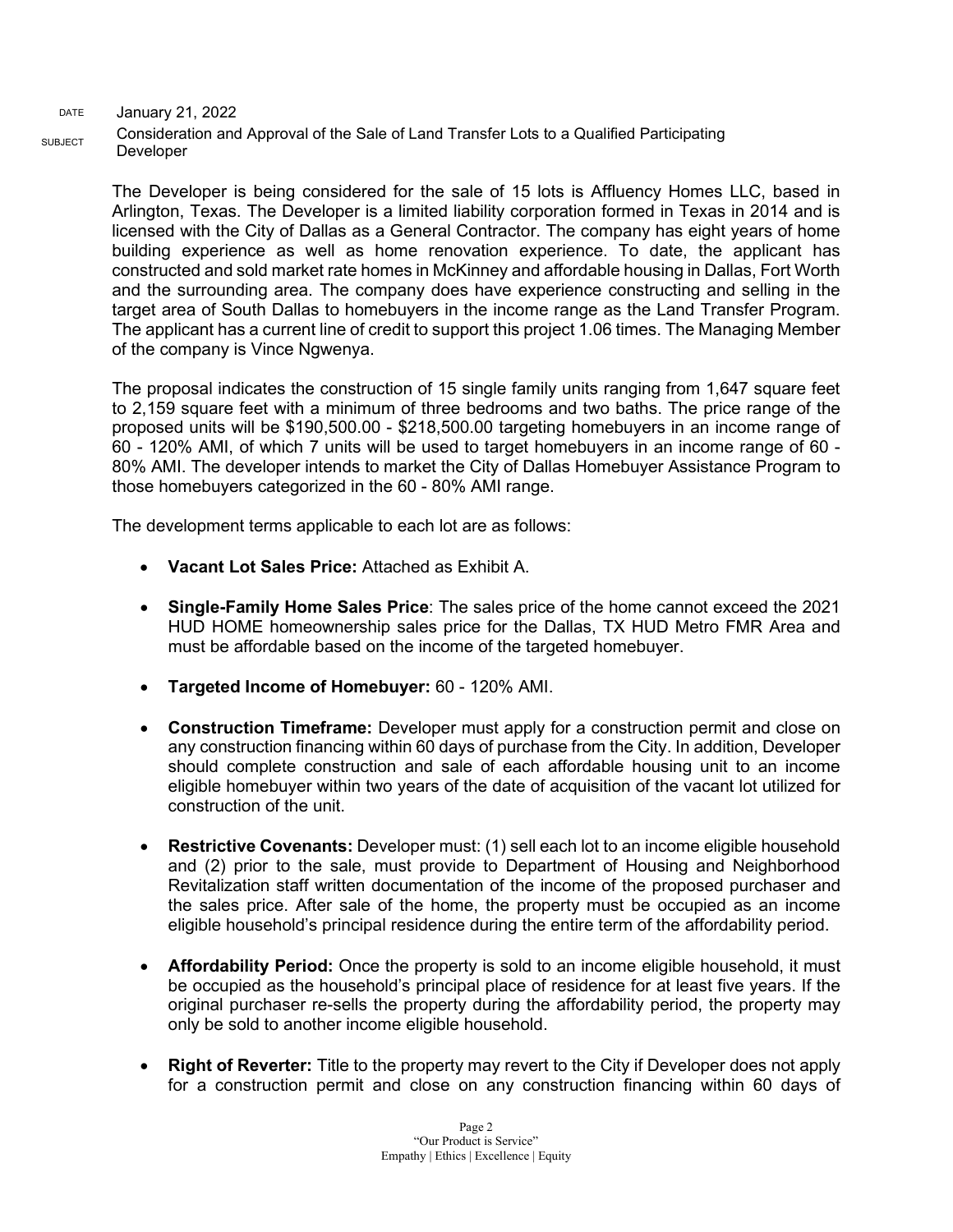DATE January 21, 2022 SUBJECT Consideration and Approval of the Sale of Land Transfer Lots to a Qualified Participating Developer

> The Developer is being considered for the sale of 15 lots is Affluency Homes LLC, based in Arlington, Texas. The Developer is a limited liability corporation formed in Texas in 2014 and is licensed with the City of Dallas as a General Contractor. The company has eight years of home building experience as well as home renovation experience. To date, the applicant has constructed and sold market rate homes in McKinney and affordable housing in Dallas, Fort Worth and the surrounding area. The company does have experience constructing and selling in the target area of South Dallas to homebuyers in the income range as the Land Transfer Program. The applicant has a current line of credit to support this project 1.06 times. The Managing Member of the company is Vince Ngwenya.

> The proposal indicates the construction of 15 single family units ranging from 1,647 square feet to 2,159 square feet with a minimum of three bedrooms and two baths. The price range of the proposed units will be \$190,500.00 - \$218,500.00 targeting homebuyers in an income range of 60 - 120% AMI, of which 7 units will be used to target homebuyers in an income range of 60 - 80% AMI. The developer intends to market the City of Dallas Homebuyer Assistance Program to those homebuyers categorized in the 60 - 80% AMI range.

The development terms applicable to each lot are as follows:

- **Vacant Lot Sales Price:** Attached as Exhibit A.
- **Single-Family Home Sales Price**: The sales price of the home cannot exceed the 2021 HUD HOME homeownership sales price for the Dallas, TX HUD Metro FMR Area and must be affordable based on the income of the targeted homebuyer.
- **Targeted Income of Homebuyer:** 60 120% AMI.
- **Construction Timeframe:** Developer must apply for a construction permit and close on any construction financing within 60 days of purchase from the City. In addition, Developer should complete construction and sale of each affordable housing unit to an income eligible homebuyer within two years of the date of acquisition of the vacant lot utilized for construction of the unit.
- **Restrictive Covenants:** Developer must: (1) sell each lot to an income eligible household and (2) prior to the sale, must provide to Department of Housing and Neighborhood Revitalization staff written documentation of the income of the proposed purchaser and the sales price. After sale of the home, the property must be occupied as an income eligible household's principal residence during the entire term of the affordability period.
- **Affordability Period:** Once the property is sold to an income eligible household, it must be occupied as the household's principal place of residence for at least five years. If the original purchaser re-sells the property during the affordability period, the property may only be sold to another income eligible household.
- **Right of Reverter:** Title to the property may revert to the City if Developer does not apply for a construction permit and close on any construction financing within 60 days of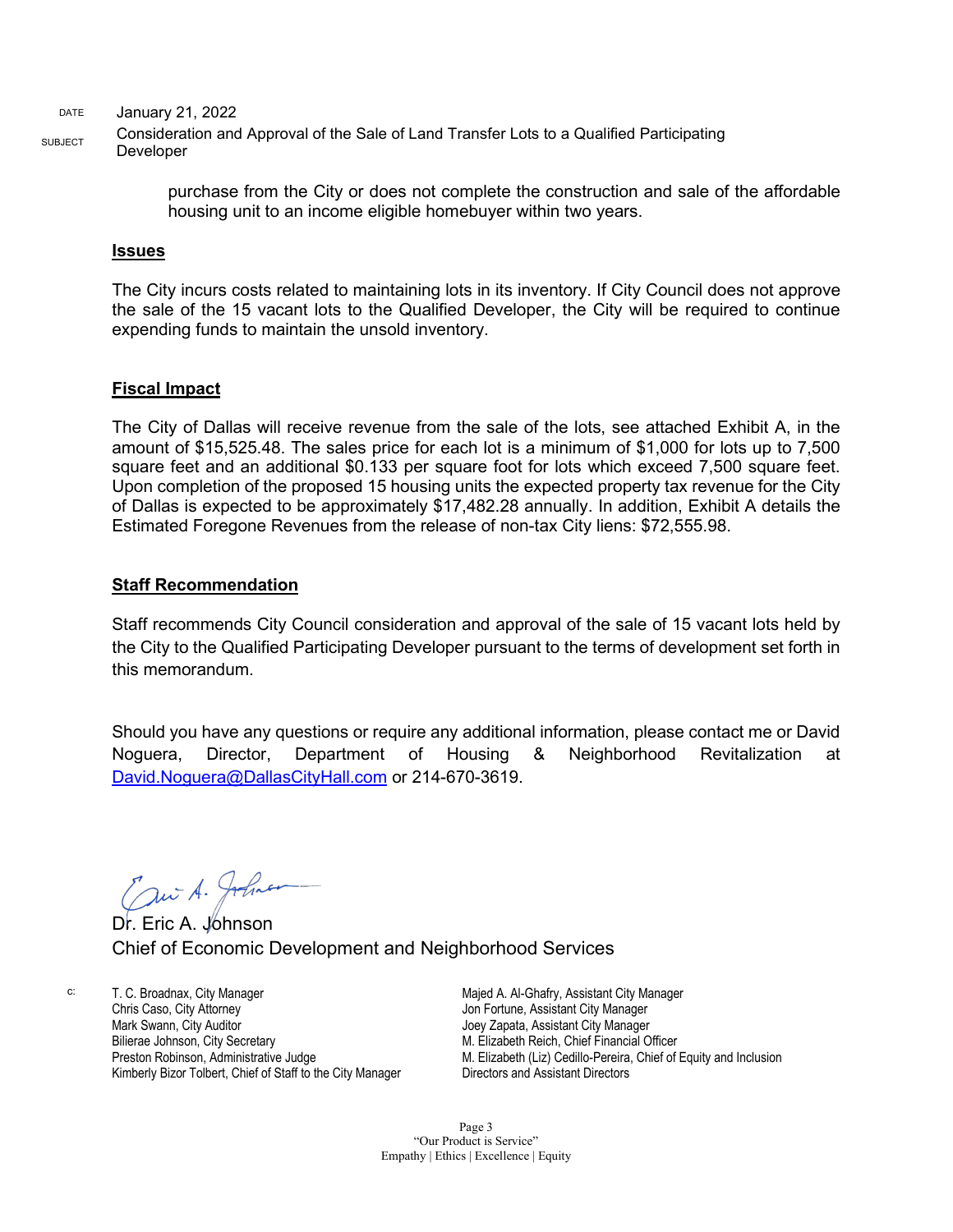DATE January 21, 2022

SUBJECT Consideration and Approval of the Sale of Land Transfer Lots to a Qualified Participating Developer

> purchase from the City or does not complete the construction and sale of the affordable housing unit to an income eligible homebuyer within two years.

#### **Issues**

The City incurs costs related to maintaining lots in its inventory. If City Council does not approve the sale of the 15 vacant lots to the Qualified Developer, the City will be required to continue expending funds to maintain the unsold inventory.

#### **Fiscal Impact**

The City of Dallas will receive revenue from the sale of the lots, see attached Exhibit A, in the amount of \$15,525.48. The sales price for each lot is a minimum of \$1,000 for lots up to 7,500 square feet and an additional \$0.133 per square foot for lots which exceed 7,500 square feet. Upon completion of the proposed 15 housing units the expected property tax revenue for the City of Dallas is expected to be approximately \$17,482.28 annually. In addition, Exhibit A details the Estimated Foregone Revenues from the release of non-tax City liens: \$72,555.98.

#### **Staff Recommendation**

Staff recommends City Council consideration and approval of the sale of 15 vacant lots held by the City to the Qualified Participating Developer pursuant to the terms of development set forth in this memorandum.

Should you have any questions or require any additional information, please contact me or David Noguera, Director, Department of Housing & Neighborhood Revitalization at [David.Noguera@DallasCityHall.com](mailto:David.Noguera@DallasCityHall.com) or 214-670-3619.

Dr. Eric A. Johnson

Chief of Economic Development and Neighborhood Services

c: T. C. Broadnax, City Manager Chris Caso, City Attorney Mark Swann, City Auditor Bilierae Johnson, City Secretary Preston Robinson, Administrative Judge Kimberly Bizor Tolbert, Chief of Staff to the City Manager

Majed A. Al-Ghafry, Assistant City Manager Jon Fortune, Assistant City Manager Joey Zapata, Assistant City Manager M. Elizabeth Reich, Chief Financial Officer M. Elizabeth (Liz) Cedillo-Pereira, Chief of Equity and Inclusion Directors and Assistant Directors

Page 3 "Our Product is Service" Empathy | Ethics | Excellence | Equity